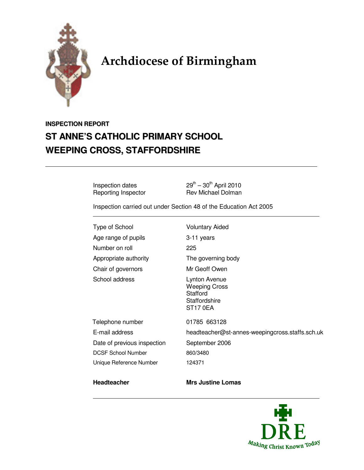

# Archdiocese of Birmingham

## **INSPECTION REPORT ST ANNE'S CATHOLIC PRIMARY SCHOOL WEEPING CROSS, STAFFORDSHIRE**

Reporting Inspector

Inspection dates  $29^{th} - 30^{th}$  April 2010<br>Reporting Inspector Rev Michael Dolman

Inspection carried out under Section 48 of the Education Act 2005

Type of School Voluntary Aided Age range of pupils 3-11 years Number on roll 225 Appropriate authority The governing body Chair of governors Mr Geoff Owen

DCSF School Number 860/3480

School address Lynton Avenue Weeping Cross **Stafford Staffordshire** 

ST17 0EA

Telephone number 01785 663128 E-mail address headteacher@st-annes-weepingcross.staffs.sch.uk Date of previous inspection September 2006 Unique Reference Number 124371

#### **Headteacher** Mrs Justine Lomas

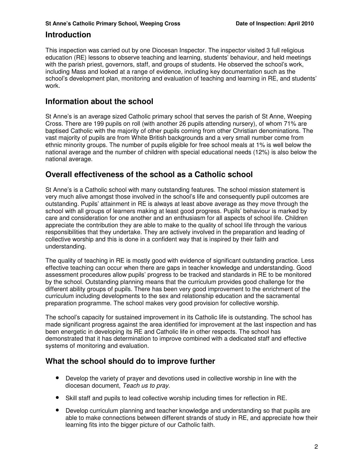#### **Introduction**

This inspection was carried out by one Diocesan Inspector. The inspector visited 3 full religious education (RE) lessons to observe teaching and learning, students' behaviour, and held meetings with the parish priest, governors, staff, and groups of students. He observed the school's work, including Mass and looked at a range of evidence, including key documentation such as the school's development plan, monitoring and evaluation of teaching and learning in RE, and students' work.

#### **Information about the school**

St Anne's is an average sized Catholic primary school that serves the parish of St Anne, Weeping Cross. There are 199 pupils on roll (with another 26 pupils attending nursery), of whom 71% are baptised Catholic with the majority of other pupils coming from other Christian denominations. The vast majority of pupils are from White British backgrounds and a very small number come from ethnic minority groups. The number of pupils eligible for free school meals at 1% is well below the national average and the number of children with special educational needs (12%) is also below the national average.

### **Overall effectiveness of the school as a Catholic school**

St Anne's is a Catholic school with many outstanding features. The school mission statement is very much alive amongst those involved in the school's life and consequently pupil outcomes are outstanding. Pupils' attainment in RE is always at least above average as they move through the school with all groups of learners making at least good progress. Pupils' behaviour is marked by care and consideration for one another and an enthusiasm for all aspects of school life. Children appreciate the contribution they are able to make to the quality of school life through the various responsibilities that they undertake. They are actively involved in the preparation and leading of collective worship and this is done in a confident way that is inspired by their faith and understanding.

The quality of teaching in RE is mostly good with evidence of significant outstanding practice. Less effective teaching can occur when there are gaps in teacher knowledge and understanding. Good assessment procedures allow pupils' progress to be tracked and standards in RE to be monitored by the school. Outstanding planning means that the curriculum provides good challenge for the different ability groups of pupils. There has been very good improvement to the enrichment of the curriculum including developments to the sex and relationship education and the sacramental preparation programme. The school makes very good provision for collective worship.

The school's capacity for sustained improvement in its Catholic life is outstanding. The school has made significant progress against the area identified for improvement at the last inspection and has been energetic in developing its RE and Catholic life in other respects. The school has demonstrated that it has determination to improve combined with a dedicated staff and effective systems of monitoring and evaluation.

### **What the school should do to improve further**

- Develop the variety of prayer and devotions used in collective worship in line with the diocesan document, Teach us to pray.
- Skill staff and pupils to lead collective worship including times for reflection in RE.
- Develop curriculum planning and teacher knowledge and understanding so that pupils are able to make connections between different strands of study in RE, and appreciate how their learning fits into the bigger picture of our Catholic faith.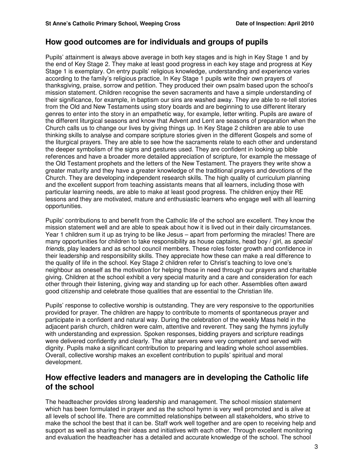#### **How good outcomes are for individuals and groups of pupils**

Pupils' attainment is always above average in both key stages and is high in Key Stage 1 and by the end of Key Stage 2. They make at least good progress in each key stage and progress at Key Stage 1 is exemplary. On entry pupils' religious knowledge, understanding and experience varies according to the family's religious practice. In Key Stage 1 pupils write their own prayers of thanksgiving, praise, sorrow and petition. They produced their own psalm based upon the school's mission statement. Children recognise the seven sacraments and have a simple understanding of their significance, for example, in baptism our sins are washed away. They are able to re-tell stories from the Old and New Testaments using story boards and are beginning to use different literary genres to enter into the story in an empathetic way, for example, letter writing. Pupils are aware of the different liturgical seasons and know that Advent and Lent are seasons of preparation when the Church calls us to change our lives by giving things up. In Key Stage 2 children are able to use thinking skills to analyse and compare scripture stories given in the different Gospels and some of the liturgical prayers. They are able to see how the sacraments relate to each other and understand the deeper symbolism of the signs and gestures used. They are confident in looking up bible references and have a broader more detailed appreciation of scripture, for example the message of the Old Testament prophets and the letters of the New Testament. The prayers they write show a greater maturity and they have a greater knowledge of the traditional prayers and devotions of the Church. They are developing independent research skills. The high quality of curriculum planning and the excellent support from teaching assistants means that all learners, including those with particular learning needs, are able to make at least good progress. The children enjoy their RE lessons and they are motivated, mature and enthusiastic learners who engage well with all learning opportunities.

Pupils' contributions to and benefit from the Catholic life of the school are excellent. They know the mission statement well and are able to speak about how it is lived out in their daily circumstances. Year 1 children sum it up as trying to be like Jesus – apart from performing the miracles! There are many opportunities for children to take responsibility as house captains, head boy / girl, as special friends, play leaders and as school council members. These roles foster growth and confidence in their leadership and responsibility skills. They appreciate how these can make a real difference to the quality of life in the school. Key Stage 2 children refer to Christ's teaching to love one's neighbour as oneself as the motivation for helping those in need through our prayers and charitable giving. Children at the school exhibit a very special maturity and a care and consideration for each other through their listening, giving way and standing up for each other. Assemblies often award good citizenship and celebrate those qualities that are essential to the Christian life.

Pupils' response to collective worship is outstanding. They are very responsive to the opportunities provided for prayer. The children are happy to contribute to moments of spontaneous prayer and participate in a confident and natural way. During the celebration of the weekly Mass held in the adjacent parish church, children were calm, attentive and reverent. They sang the hymns joyfully with understanding and expression. Spoken responses, bidding prayers and scripture readings were delivered confidently and clearly. The altar servers were very competent and served with dignity. Pupils make a significant contribution to preparing and leading whole school assemblies. Overall, collective worship makes an excellent contribution to pupils' spiritual and moral development.

#### **How effective leaders and managers are in developing the Catholic life of the school**

The headteacher provides strong leadership and management. The school mission statement which has been formulated in prayer and as the school hymn is very well promoted and is alive at all levels of school life. There are committed relationships between all stakeholders, who strive to make the school the best that it can be. Staff work well together and are open to receiving help and support as well as sharing their ideas and initiatives with each other. Through excellent monitoring and evaluation the headteacher has a detailed and accurate knowledge of the school. The school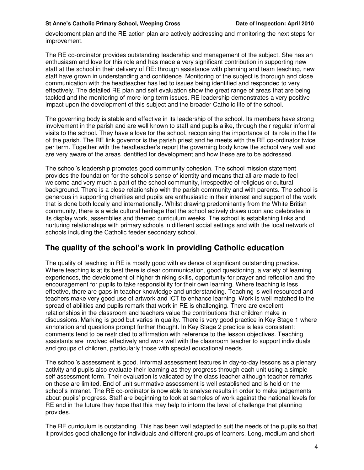development plan and the RE action plan are actively addressing and monitoring the next steps for improvement.

The RE co-ordinator provides outstanding leadership and management of the subject. She has an enthusiasm and love for this role and has made a very significant contribution in supporting new staff at the school in their delivery of RE: through assistance with planning and team teaching, new staff have grown in understanding and confidence. Monitoring of the subject is thorough and close communication with the headteacher has led to issues being identified and responded to very effectively. The detailed RE plan and self evaluation show the great range of areas that are being tackled and the monitoring of more long term issues. RE leadership demonstrates a very positive impact upon the development of this subject and the broader Catholic life of the school.

The governing body is stable and effective in its leadership of the school. Its members have strong involvement in the parish and are well known to staff and pupils alike, through their regular informal visits to the school. They have a love for the school, recognising the importance of its role in the life of the parish. The RE link governor is the parish priest and he meets with the RE co-ordinator twice per term. Together with the headteacher's report the governing body know the school very well and are very aware of the areas identified for development and how these are to be addressed.

The school's leadership promotes good community cohesion. The school mission statement provides the foundation for the school's sense of identity and means that all are made to feel welcome and very much a part of the school community, irrespective of religious or cultural background. There is a close relationship with the parish community and with parents. The school is generous in supporting charities and pupils are enthusiastic in their interest and support of the work that is done both locally and internationally. Whilst drawing predominantly from the White British community, there is a wide cultural heritage that the school actively draws upon and celebrates in its display work, assemblies and themed curriculum weeks. The school is establishing links and nurturing relationships with primary schools in different social settings and with the local network of schools including the Catholic feeder secondary school.

### **The quality of the school's work in providing Catholic education**

The quality of teaching in RE is mostly good with evidence of significant outstanding practice. Where teaching is at its best there is clear communication, good questioning, a variety of learning experiences, the development of higher thinking skills, opportunity for prayer and reflection and the encouragement for pupils to take responsibility for their own learning. Where teaching is less effective, there are gaps in teacher knowledge and understanding. Teaching is well resourced and teachers make very good use of artwork and ICT to enhance learning. Work is well matched to the spread of abilities and pupils remark that work in RE is challenging. There are excellent relationships in the classroom and teachers value the contributions that children make in discussions. Marking is good but varies in quality. There is very good practice in Key Stage 1 where annotation and questions prompt further thought. In Key Stage 2 practice is less consistent: comments tend to be restricted to affirmation with reference to the lesson objectives. Teaching assistants are involved effectively and work well with the classroom teacher to support individuals and groups of children, particularly those with special educational needs.

The school's assessment is good. Informal assessment features in day-to-day lessons as a plenary activity and pupils also evaluate their learning as they progress through each unit using a simple self assessment form. Their evaluation is validated by the class teacher although teacher remarks on these are limited. End of unit summative assessment is well established and is held on the school's intranet. The RE co-ordinator is now able to analyse results in order to make judgements about pupils' progress. Staff are beginning to look at samples of work against the national levels for RE and in the future they hope that this may help to inform the level of challenge that planning provides.

The RE curriculum is outstanding. This has been well adapted to suit the needs of the pupils so that it provides good challenge for individuals and different groups of learners. Long, medium and short